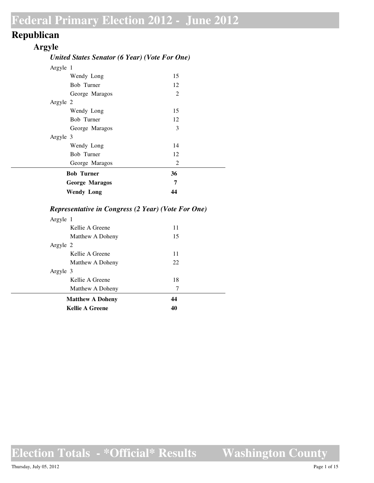## **Republican**

#### **Argyle**

#### *United States Senator (6 Year) (Vote For One)*

| Argyle 1              |    |  |
|-----------------------|----|--|
| Wendy Long            | 15 |  |
| Bob Turner            | 12 |  |
| George Maragos        | 2  |  |
| Argyle 2              |    |  |
| Wendy Long            | 15 |  |
| Bob Turner            | 12 |  |
| George Maragos        | 3  |  |
| Argyle 3              |    |  |
| Wendy Long            | 14 |  |
| Bob Turner            | 12 |  |
| George Maragos        | 2  |  |
| <b>Bob Turner</b>     | 36 |  |
| <b>George Maragos</b> | 7  |  |
| <b>Wendy Long</b>     | 44 |  |

#### *Representative in Congress (2 Year) (Vote For One)*

| <b>Kellie A Greene</b>  | 40 |  |
|-------------------------|----|--|
| <b>Matthew A Doheny</b> | 44 |  |
| Matthew A Doheny        | 7  |  |
| Kellie A Greene         | 18 |  |
| Argyle 3                |    |  |
| Matthew A Doheny        | 22 |  |
| Kellie A Greene         | 11 |  |
| Argyle 2                |    |  |
| Matthew A Doheny        | 15 |  |
| Kellie A Greene         | 11 |  |
| Argyle 1                |    |  |

**Election Totals - \*Official\* Results**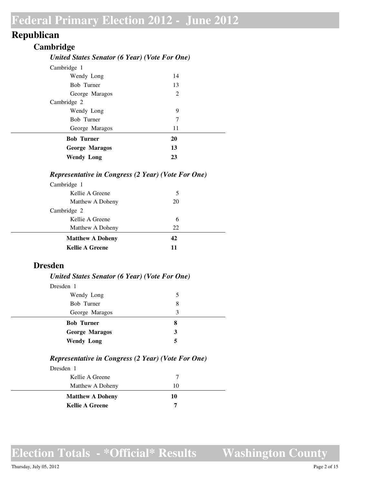## **Republican**

#### **Cambridge**

#### *United States Senator (6 Year) (Vote For One)*

| Cambridge 1           |    |  |
|-----------------------|----|--|
| Wendy Long            | 14 |  |
| <b>Bob Turner</b>     | 13 |  |
| George Maragos        | 2  |  |
| Cambridge 2           |    |  |
| Wendy Long            | 9  |  |
| Bob Turner            | 7  |  |
| George Maragos        | 11 |  |
| <b>Bob Turner</b>     | 20 |  |
| <b>George Maragos</b> | 13 |  |
| <b>Wendy Long</b>     | 23 |  |
|                       |    |  |

#### *Representative in Congress (2 Year) (Vote For One)*

| Cambridge 1             |     |  |
|-------------------------|-----|--|
| Kellie A Greene         | 5   |  |
| Matthew A Doheny        | 20  |  |
| Cambridge 2             |     |  |
| Kellie A Greene         | 6   |  |
| Matthew A Doheny        | 22. |  |
| <b>Matthew A Doheny</b> | 42  |  |
| <b>Kellie A Greene</b>  | 11  |  |

#### **Dresden**

#### *United States Senator (6 Year) (Vote For One)*

| 5 |  |
|---|--|
| 8 |  |
| 3 |  |
| 8 |  |
| 3 |  |
| 5 |  |
|   |  |

#### *Representative in Congress (2 Year) (Vote For One)*

| Dresden 1               |    |  |
|-------------------------|----|--|
| Kellie A Greene         |    |  |
| Matthew A Doheny        | 10 |  |
| <b>Matthew A Doheny</b> | 10 |  |
| <b>Kellie A Greene</b>  | 7  |  |
|                         |    |  |

**Election Totals - \*Official\* Results**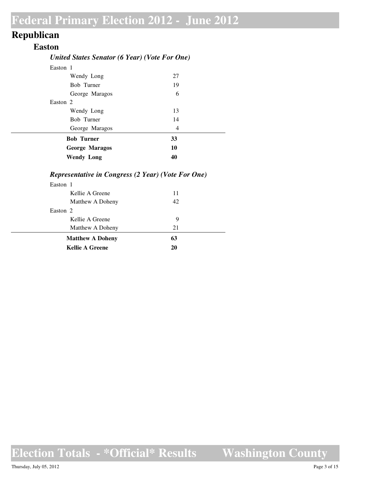## **Republican**

#### **Easton**

#### *United States Senator (6 Year) (Vote For One)*

| Easton 1 |                       |                |  |
|----------|-----------------------|----------------|--|
|          | Wendy Long            | 27             |  |
|          | <b>Bob Turner</b>     | 19             |  |
|          | George Maragos        | 6              |  |
| Easton 2 |                       |                |  |
|          | Wendy Long            | 13             |  |
|          | Bob Turner            | 14             |  |
|          | George Maragos        | $\overline{4}$ |  |
|          | <b>Bob Turner</b>     | 33             |  |
|          | <b>George Maragos</b> | 10             |  |
|          | <b>Wendy Long</b>     | 40             |  |

#### *Representative in Congress (2 Year) (Vote For One)*

| Easton 1                |    |  |
|-------------------------|----|--|
| Kellie A Greene         | 11 |  |
| Matthew A Doheny        | 42 |  |
| Easton 2                |    |  |
| Kellie A Greene         | 9  |  |
| Matthew A Doheny        | 21 |  |
| <b>Matthew A Doheny</b> | 63 |  |
| <b>Kellie A Greene</b>  | 20 |  |

**Election Totals - \*Official\* Results**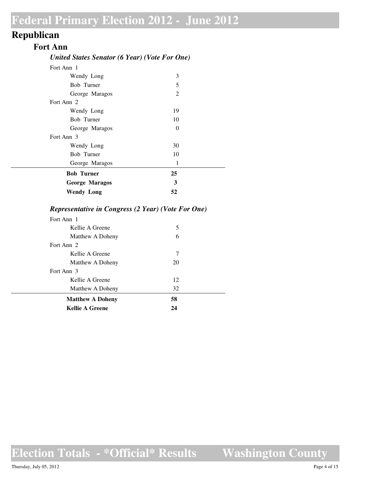## **Republican**

#### **Fort Ann**

#### *United States Senator (6 Year) (Vote For One)*

| Fort Ann 1            |                |  |
|-----------------------|----------------|--|
| Wendy Long            | 3              |  |
| <b>Bob Turner</b>     | 5              |  |
| George Maragos        | $\overline{2}$ |  |
| Fort Ann 2            |                |  |
| Wendy Long            | 19             |  |
| Bob Turner            | 10             |  |
| George Maragos        | $\Omega$       |  |
| Fort Ann 3            |                |  |
| Wendy Long            | 30             |  |
| Bob Turner            | 10             |  |
| George Maragos        | 1              |  |
| <b>Bob Turner</b>     | 25             |  |
| <b>George Maragos</b> | 3              |  |
| <b>Wendy Long</b>     | 52             |  |

#### *Representative in Congress (2 Year) (Vote For One)*

| <b>Kellie A Greene</b>  | 24 |  |
|-------------------------|----|--|
| <b>Matthew A Doheny</b> | 58 |  |
| Matthew A Doheny        | 32 |  |
| Kellie A Greene         | 12 |  |
| Fort Ann 3              |    |  |
| Matthew A Doheny        | 20 |  |
| Kellie A Greene         | 7  |  |
| Fort Ann 2              |    |  |
| Matthew A Doheny        | 6  |  |
| Kellie A Greene         | 5  |  |
| Fort Ann 1              |    |  |

**Election Totals - \*Official\* Results**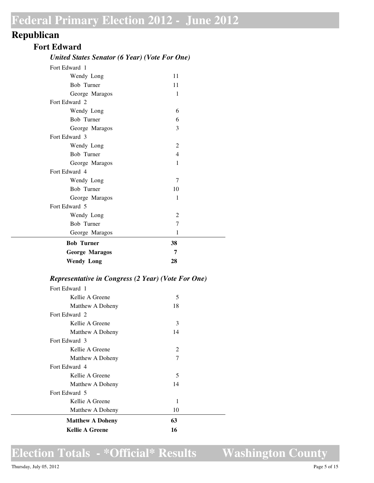## **Republican**

#### **Fort Edward**

#### *United States Senator (6 Year) (Vote For One)*

| Fort Edward 1         |                |  |
|-----------------------|----------------|--|
| Wendy Long            | 11             |  |
| Bob Turner            | 11             |  |
| George Maragos        | 1              |  |
| Fort Edward 2         |                |  |
| Wendy Long            | 6              |  |
| Bob Turner            | 6              |  |
| George Maragos        | 3              |  |
| Fort Edward 3         |                |  |
| Wendy Long            | $\overline{2}$ |  |
| Bob Turner            | 4              |  |
| George Maragos        | 1              |  |
| Fort Edward 4         |                |  |
| Wendy Long            | 7              |  |
| Bob Turner            | 10             |  |
| George Maragos        | 1              |  |
| Fort Edward 5         |                |  |
| Wendy Long            | $\overline{2}$ |  |
| Bob Turner            | 7              |  |
| George Maragos        | 1              |  |
| <b>Bob Turner</b>     | 38             |  |
| <b>George Maragos</b> | 7              |  |
| <b>Wendy Long</b>     | 28             |  |
|                       |                |  |

#### *Representative in Congress (2 Year) (Vote For One)*

| Fort Edward 1           |    |  |
|-------------------------|----|--|
| Kellie A Greene         | 5  |  |
| Matthew A Doheny        | 18 |  |
| Fort Edward 2           |    |  |
| Kellie A Greene         | 3  |  |
| Matthew A Doheny        | 14 |  |
| Fort Edward 3           |    |  |
| Kellie A Greene         | 2  |  |
| Matthew A Doheny        | 7  |  |
| Fort Edward 4           |    |  |
| Kellie A Greene         | 5  |  |
| Matthew A Doheny        | 14 |  |
| Fort Edward 5           |    |  |
| Kellie A Greene         | 1  |  |
| Matthew A Doheny        | 10 |  |
| <b>Matthew A Doheny</b> | 63 |  |
| <b>Kellie A Greene</b>  | 16 |  |

## **Election Totals - \*Official\* Results**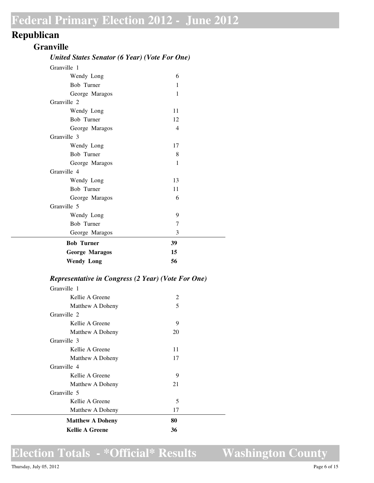## **Republican**

#### **Granville**

#### *United States Senator (6 Year) (Vote For One)*

| Granville 1           |    |  |
|-----------------------|----|--|
| Wendy Long            | 6  |  |
| Bob Turner            | 1  |  |
| George Maragos        | 1  |  |
| Granville 2           |    |  |
| Wendy Long            | 11 |  |
| <b>Bob Turner</b>     | 12 |  |
| George Maragos        | 4  |  |
| Granville 3           |    |  |
| Wendy Long            | 17 |  |
| Bob Turner            | 8  |  |
| George Maragos        | 1  |  |
| Granville 4           |    |  |
| Wendy Long            | 13 |  |
| Bob Turner            | 11 |  |
| George Maragos        | 6  |  |
| Granville 5           |    |  |
| Wendy Long            | 9  |  |
| Bob Turner            | 7  |  |
| George Maragos        | 3  |  |
| <b>Bob Turner</b>     | 39 |  |
| <b>George Maragos</b> | 15 |  |
| <b>Wendy Long</b>     | 56 |  |
|                       |    |  |

#### *Representative in Congress (2 Year) (Vote For One)*

| Granville 1             |    |
|-------------------------|----|
| Kellie A Greene         | 2  |
| Matthew A Doheny        | 5  |
| Granville 2             |    |
| Kellie A Greene         | 9  |
| Matthew A Doheny        | 20 |
| Granville 3             |    |
| Kellie A Greene         | 11 |
| Matthew A Doheny        | 17 |
| Granville 4             |    |
| Kellie A Greene         | 9  |
| Matthew A Doheny        | 21 |
| Granville 5             |    |
| Kellie A Greene         | 5  |
| Matthew A Doheny        | 17 |
| <b>Matthew A Doheny</b> | 80 |
| <b>Kellie A Greene</b>  | 36 |

## **Election Totals - \*Official\* Results**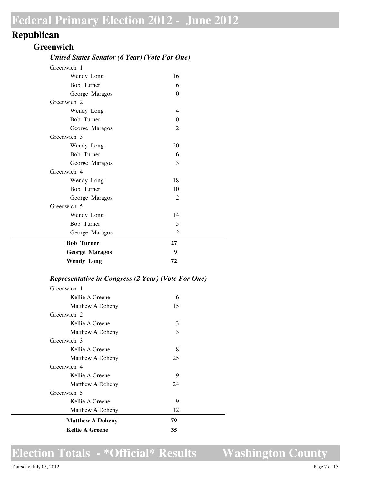## **Republican**

#### **Greenwich**

#### *United States Senator (6 Year) (Vote For One)*

| Greenwich 1           |                |  |
|-----------------------|----------------|--|
| Wendy Long            | 16             |  |
| Bob Turner            | 6              |  |
| George Maragos        | $\theta$       |  |
| Greenwich 2           |                |  |
| Wendy Long            | 4              |  |
| <b>Bob Turner</b>     | $\theta$       |  |
| George Maragos        | $\overline{2}$ |  |
| Greenwich 3           |                |  |
| Wendy Long            | 20             |  |
| Bob Turner            | 6              |  |
| George Maragos        | 3              |  |
| Greenwich 4           |                |  |
| Wendy Long            | 18             |  |
| Bob Turner            | 10             |  |
| George Maragos        | 2              |  |
| Greenwich 5           |                |  |
| Wendy Long            | 14             |  |
| <b>Bob Turner</b>     | 5              |  |
| George Maragos        | 2              |  |
| <b>Bob Turner</b>     | 27             |  |
| <b>George Maragos</b> | 9              |  |
| <b>Wendy Long</b>     | 72             |  |
|                       |                |  |

#### *Representative in Congress (2 Year) (Vote For One)*

| Greenwich 1             |    |
|-------------------------|----|
| Kellie A Greene         | 6  |
| Matthew A Doheny        | 15 |
| Greenwich 2             |    |
| Kellie A Greene         | 3  |
| Matthew A Doheny        | 3  |
| Greenwich 3             |    |
| Kellie A Greene         | 8  |
| Matthew A Doheny        | 25 |
| Greenwich 4             |    |
| Kellie A Greene         | 9  |
| Matthew A Doheny        | 24 |
| Greenwich 5             |    |
| Kellie A Greene         | 9  |
| Matthew A Doheny        | 12 |
| <b>Matthew A Doheny</b> | 79 |
| <b>Kellie A Greene</b>  | 35 |

## **Election Totals - \*Official\* Results**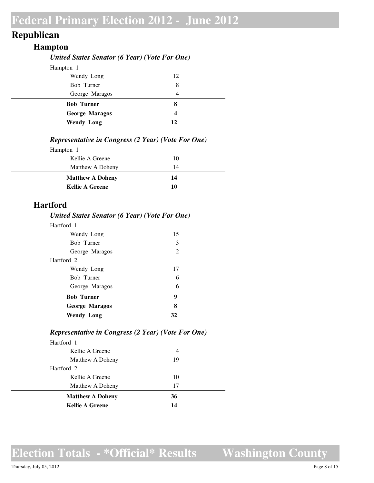## **Republican**

#### **Hampton**

#### *United States Senator (6 Year) (Vote For One)*

| Hampton 1             |                  |  |
|-----------------------|------------------|--|
| Wendy Long            | 12               |  |
| Bob Turner            | 8                |  |
| George Maragos        | 4                |  |
| <b>Bob Turner</b>     | 8                |  |
| <b>George Maragos</b> | $\boldsymbol{4}$ |  |
| <b>Wendy Long</b>     | 12               |  |

#### *Representative in Congress (2 Year) (Vote For One)*

| Hampton 1               |    |  |
|-------------------------|----|--|
| Kellie A Greene         | 10 |  |
| Matthew A Doheny        | 14 |  |
| <b>Matthew A Doheny</b> | 14 |  |
| <b>Kellie A Greene</b>  | 10 |  |

#### **Hartford**

#### *United States Senator (6 Year) (Vote For One)*

| Hartford 1            |    |  |
|-----------------------|----|--|
| Wendy Long            | 15 |  |
| Bob Turner            | 3  |  |
| George Maragos        | 2  |  |
| Hartford 2            |    |  |
| Wendy Long            | 17 |  |
| Bob Turner            | 6  |  |
| George Maragos        | 6  |  |
| <b>Bob Turner</b>     | 9  |  |
| <b>George Maragos</b> | 8  |  |
| <b>Wendy Long</b>     | 32 |  |

#### *Representative in Congress (2 Year) (Vote For One)*

| Hartford 1              |    |  |
|-------------------------|----|--|
| Kellie A Greene         | 4  |  |
| Matthew A Doheny        | 19 |  |
| Hartford 2              |    |  |
| Kellie A Greene         | 10 |  |
| Matthew A Doheny        | 17 |  |
| <b>Matthew A Doheny</b> | 36 |  |
| <b>Kellie A Greene</b>  | 14 |  |

## **Election Totals - \*Official\* Results**

**Washington County**

Thursday, July 05, 2012 Page 8 of 15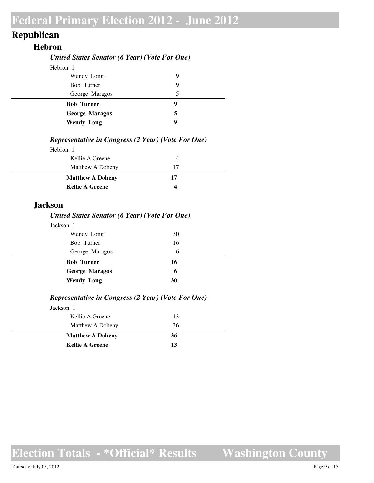## **Republican**

#### **Hebron**

#### *United States Senator (6 Year) (Vote For One)*

| Hebron 1              |   |
|-----------------------|---|
| Wendy Long            | 9 |
| Bob Turner            | 9 |
| George Maragos        | 5 |
| <b>Bob Turner</b>     | 9 |
| <b>George Maragos</b> | 5 |
| <b>Wendy Long</b>     | 9 |

#### *Representative in Congress (2 Year) (Vote For One)*

| Hebron 1                |    |  |
|-------------------------|----|--|
| Kellie A Greene         |    |  |
| Matthew A Doheny        | 17 |  |
| <b>Matthew A Doheny</b> | 17 |  |
| <b>Kellie A Greene</b>  | Δ  |  |

#### **Jackson**

#### *United States Senator (6 Year) (Vote For One)*

| Jackson 1             |    |  |
|-----------------------|----|--|
| Wendy Long            | 30 |  |
| Bob Turner            | 16 |  |
| George Maragos        | 6  |  |
|                       |    |  |
| <b>Bob Turner</b>     | 16 |  |
| <b>George Maragos</b> | 6  |  |

#### *Representative in Congress (2 Year) (Vote For One)*

| Jackson 1               |    |  |
|-------------------------|----|--|
| Kellie A Greene         | 13 |  |
| Matthew A Doheny        | 36 |  |
| <b>Matthew A Doheny</b> | 36 |  |
| <b>Kellie A Greene</b>  | 13 |  |

**Election Totals - \*Official\* Results**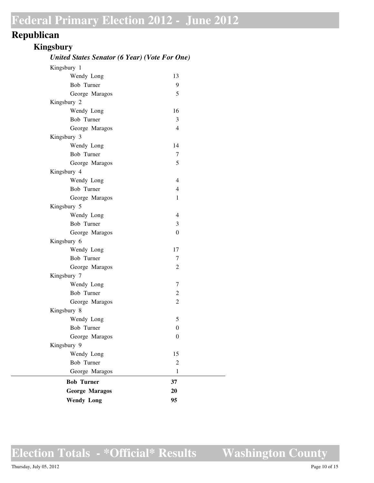## **Republican**

### **Kingsbury**

#### *United States Senator (6 Year) (Vote For One)*

| Kingsbury 1           |                  |  |
|-----------------------|------------------|--|
| Wendy Long            | 13               |  |
| Bob Turner            | 9                |  |
| George Maragos        | 5                |  |
| Kingsbury 2           |                  |  |
| Wendy Long            | 16               |  |
| Bob Turner            | 3                |  |
| George Maragos        | 4                |  |
| Kingsbury 3           |                  |  |
| Wendy Long            | 14               |  |
| Bob Turner            | 7                |  |
| George Maragos        | 5                |  |
| Kingsbury 4           |                  |  |
| Wendy Long            | $\overline{4}$   |  |
| Bob Turner            | $\overline{4}$   |  |
| George Maragos        | $\mathbf{1}$     |  |
| Kingsbury 5           |                  |  |
| Wendy Long            | $\overline{4}$   |  |
| Bob Turner            | 3                |  |
| George Maragos        | $\theta$         |  |
| Kingsbury 6           |                  |  |
| Wendy Long            | 17               |  |
| Bob Turner            | 7                |  |
| George Maragos        | $\overline{2}$   |  |
| Kingsbury 7           |                  |  |
| Wendy Long            | 7                |  |
| Bob Turner            | $\overline{c}$   |  |
| George Maragos        | $\overline{2}$   |  |
| Kingsbury 8           |                  |  |
| Wendy Long            | 5                |  |
| Bob Turner            | $\boldsymbol{0}$ |  |
| George Maragos        | $\boldsymbol{0}$ |  |
| Kingsbury 9           |                  |  |
| Wendy Long            | 15               |  |
| Bob Turner            | $\overline{c}$   |  |
| George Maragos        | $\mathbf{1}$     |  |
| <b>Bob Turner</b>     | 37               |  |
| <b>George Maragos</b> | 20               |  |
| <b>Wendy Long</b>     | 95               |  |
|                       |                  |  |

**Election Totals - \*Official\* Results**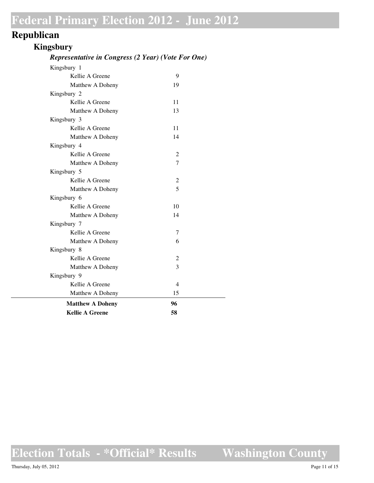## **Republican**

#### **Kingsbury**

#### *Representative in Congress (2 Year) (Vote For One)*

| <b>Kellie A Greene</b>  | 58             |
|-------------------------|----------------|
| <b>Matthew A Doheny</b> | 96             |
| Matthew A Doheny        | 15             |
| Kellie A Greene         | $\overline{4}$ |
| Kingsbury 9             |                |
| Matthew A Doheny        | 3              |
| Kellie A Greene         | 2              |
| Kingsbury 8             |                |
| Matthew A Doheny        | 6              |
| Kellie A Greene         | 7              |
| Kingsbury 7             |                |
| Matthew A Doheny        | 14             |
| Kellie A Greene         | 10             |
| Kingsbury 6             |                |
| Matthew A Doheny        | 5              |
| Kellie A Greene         | $\overline{c}$ |
| Kingsbury 5             |                |
| Matthew A Doheny        | 7              |
| Kellie A Greene         | $\overline{c}$ |
| Kingsbury 4             |                |
| Matthew A Doheny        | 14             |
| Kellie A Greene         | 11             |
| Kingsbury 3             |                |
| Matthew A Doheny        | 13             |
| Kellie A Greene         | 11             |
| Kingsbury 2             |                |
| Matthew A Doheny        | 19             |
| Kellie A Greene         | 9              |

**Election Totals - \*Official\* Results**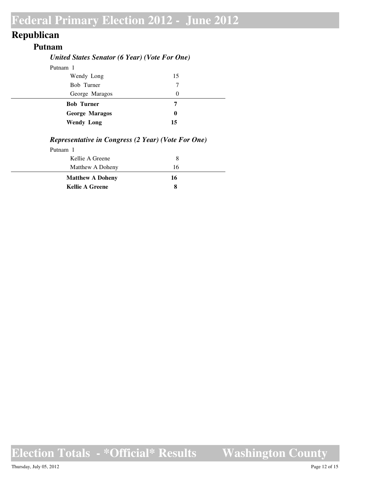## **Republican**

#### **Putnam**

#### *United States Senator (6 Year) (Vote For One)*

| Putnam 1              |          |  |
|-----------------------|----------|--|
| Wendy Long            | 15       |  |
| Bob Turner            | 7        |  |
| George Maragos        | $\theta$ |  |
| <b>Bob Turner</b>     | 7        |  |
|                       |          |  |
| <b>George Maragos</b> | 0        |  |

#### *Representative in Congress (2 Year) (Vote For One)*

| Putnam 1                |    |  |
|-------------------------|----|--|
| Kellie A Greene         | 8  |  |
| Matthew A Doheny        | 16 |  |
| <b>Matthew A Doheny</b> | 16 |  |
| <b>Kellie A Greene</b>  |    |  |

**Election Totals - \*Official\* Results**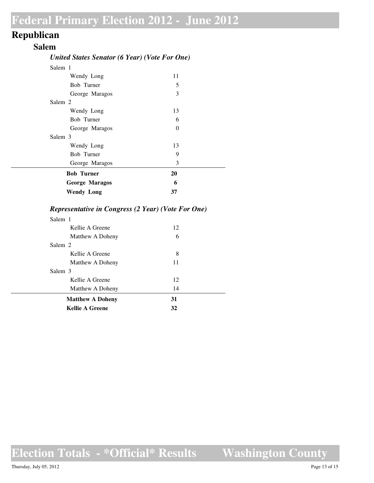## **Republican**

#### **Salem**

#### *United States Senator (6 Year) (Vote For One)*

| Salem 1               |          |  |
|-----------------------|----------|--|
| Wendy Long            | 11       |  |
| Bob Turner            | 5        |  |
| George Maragos        | 3        |  |
| Salem 2               |          |  |
| Wendy Long            | 13       |  |
| Bob Turner            | 6        |  |
| George Maragos        | $\Omega$ |  |
| Salem 3               |          |  |
| Wendy Long            | 13       |  |
| Bob Turner            | 9        |  |
| George Maragos        | 3        |  |
| <b>Bob Turner</b>     | 20       |  |
| <b>George Maragos</b> | 6        |  |
| <b>Wendy Long</b>     | 37       |  |

#### *Representative in Congress (2 Year) (Vote For One)*

| Salem 1                 |    |  |
|-------------------------|----|--|
| Kellie A Greene         | 12 |  |
| Matthew A Doheny        | 6  |  |
| Salem 2                 |    |  |
| Kellie A Greene         | 8  |  |
| Matthew A Doheny        | 11 |  |
| Salem 3                 |    |  |
| Kellie A Greene         | 12 |  |
| Matthew A Doheny        | 14 |  |
| <b>Matthew A Doheny</b> | 31 |  |
| <b>Kellie A Greene</b>  | 32 |  |
|                         |    |  |

**Election Totals - \*Official\* Results**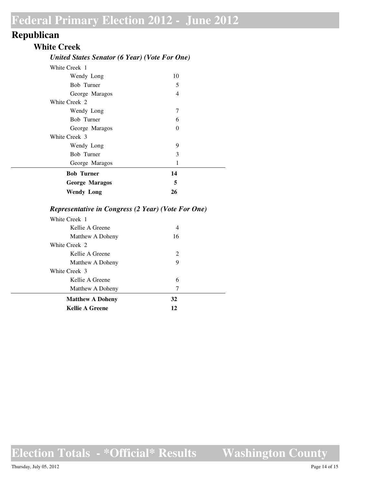## **Republican**

#### **White Creek**

#### *United States Senator (6 Year) (Vote For One)*

| White Creek 1         |    |  |
|-----------------------|----|--|
| Wendy Long            | 10 |  |
| Bob Turner            | 5  |  |
| George Maragos        | 4  |  |
| White Creek 2         |    |  |
| Wendy Long            | 7  |  |
| Bob Turner            | 6  |  |
| George Maragos        | 0  |  |
| White Creek 3         |    |  |
| Wendy Long            | 9  |  |
| Bob Turner            | 3  |  |
| George Maragos        | 1  |  |
| <b>Bob Turner</b>     | 14 |  |
| <b>George Maragos</b> | 5  |  |
| <b>Wendy Long</b>     | 26 |  |

#### *Representative in Congress (2 Year) (Vote For One)*

| White Creek 1           |                             |  |
|-------------------------|-----------------------------|--|
| Kellie A Greene         | 4                           |  |
| Matthew A Doheny        | 16                          |  |
| White Creek 2           |                             |  |
| Kellie A Greene         | $\mathcal{D}_{\mathcal{L}}$ |  |
| Matthew A Doheny        | 9                           |  |
| White Creek 3           |                             |  |
| Kellie A Greene         | 6                           |  |
| Matthew A Doheny        | 7                           |  |
| <b>Matthew A Doheny</b> | 32                          |  |
| <b>Kellie A Greene</b>  | 12                          |  |
|                         |                             |  |

**Election Totals - \*Official\* Results**